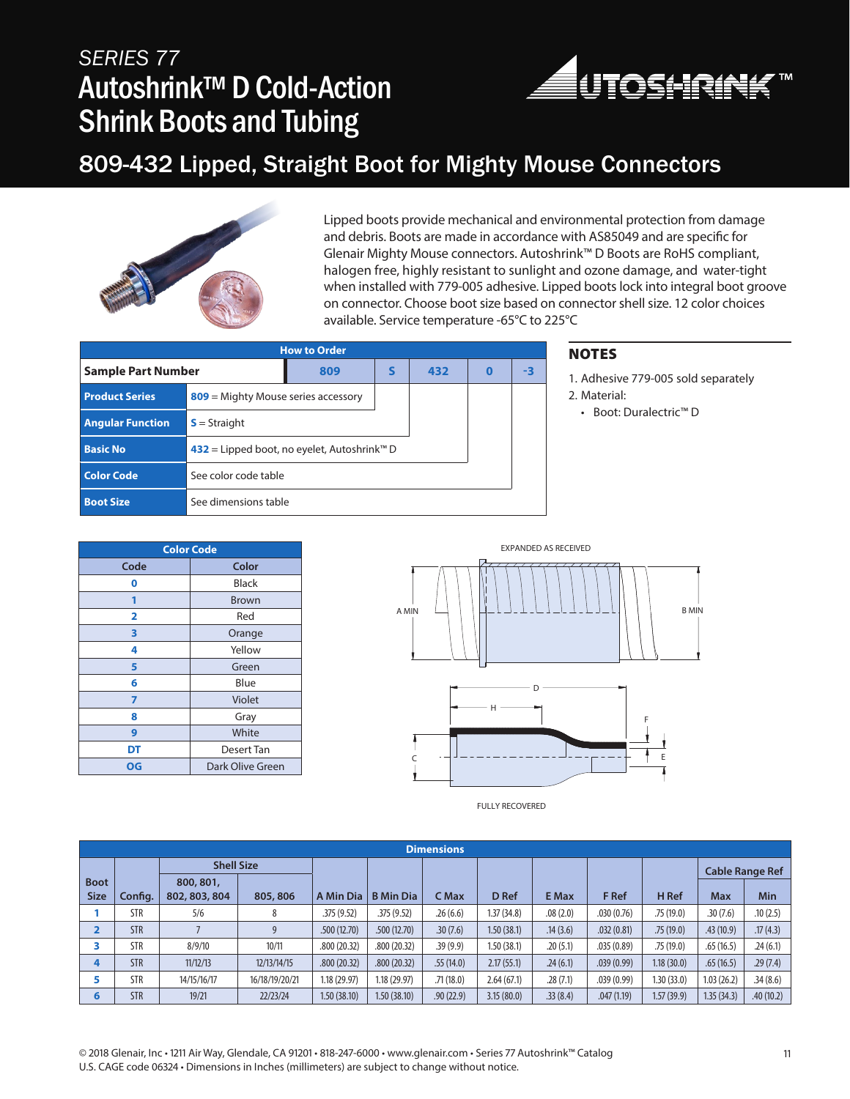## *SERIES 77* Autoshrink™ D Cold-Action Shrink Boots and Tubing



### 809-432 Lipped, Straight Boot for Mighty Mouse Connectors



Lipped boots provide mechanical and environmental protection from damage and debris. Boots are made in accordance with AS85049 and are specific for Glenair Mighty Mouse connectors. Autoshrink™ D Boots are RoHS compliant, halogen free, highly resistant to sunlight and ozone damage, and water-tight when installed with 779-005 adhesive. Lipped boots lock into integral boot groove on connector. Choose boot size based on connector shell size. 12 color choices available. Service temperature -65°C to 225°C

| <b>How to Order</b>     |                                                         |   |     |          |    |  |  |  |  |  |
|-------------------------|---------------------------------------------------------|---|-----|----------|----|--|--|--|--|--|
| Sample Part Number      | 809                                                     | S | 432 | $\bf{0}$ | -3 |  |  |  |  |  |
| <b>Product Series</b>   | $809$ = Mighty Mouse series accessory                   |   |     |          |    |  |  |  |  |  |
| <b>Angular Function</b> | $S =$ Straight                                          |   |     |          |    |  |  |  |  |  |
| <b>Basic No</b>         | 432 = Lipped boot, no eyelet, Autoshrink <sup>™</sup> D |   |     |          |    |  |  |  |  |  |
| <b>Color Code</b>       | See color code table                                    |   |     |          |    |  |  |  |  |  |
| <b>Boot Size</b>        | See dimensions table                                    |   |     |          |    |  |  |  |  |  |

### **NOTES**

1. Adhesive 779-005 sold separately 2. Material:

• Boot: Duralectric™ D

**Color Code Code Color 0** Black **1** Brown **2** Red **3** Orange **4** Yellow **5** Green **6** Blue **7** Violet **8** Gray **9** White **DT** Desert Tan **OG** Dark Olive Green

FULLY RECOVERED

|                            | <b>Dimensions</b> |                            |                |              |                  |           |            |              |            |                        |            |            |  |
|----------------------------|-------------------|----------------------------|----------------|--------------|------------------|-----------|------------|--------------|------------|------------------------|------------|------------|--|
|                            | <b>Shell Size</b> |                            |                |              |                  |           |            |              |            | <b>Cable Range Ref</b> |            |            |  |
| <b>Boot</b><br><b>Size</b> | Config.           | 800, 801,<br>802, 803, 804 | 805, 806       | A Min Dia    | <b>B</b> Min Dia | C Max     | D Ref      | <b>E</b> Max | F Ref      | H Ref                  | <b>Max</b> | <b>Min</b> |  |
|                            | STR               | 5/6                        | 8              | .375(9.52)   | .375(9.52)       | .26(6.6)  | 1.37(34.8) | .08(2.0)     | .030(0.76) | .75(19.0)              | .30(7.6)   | .10(2.5)   |  |
| $\overline{\mathbf{2}}$    | <b>STR</b>        |                            | 9              | .500(12.70)  | .500(12.70)      | .30(7.6)  | 1.50(38.1) | .14(3.6)     | .032(0.81) | .75(19.0)              | .43(10.9)  | .17(4.3)   |  |
| ∍                          | STR               | 8/9/10                     | 10/11          | .800 (20.32) | .800(20.32)      | .39(9.9)  | 1.50(38.1) | .20(5.1)     | .035(0.89) | .75(19.0)              | .65(16.5)  | .24(6.1)   |  |
| 4                          | <b>STR</b>        | 11/12/13                   | 12/13/14/15    | .800(20.32)  | .800(20.32)      | .55(14.0) | 2.17(55.1) | .24(6.1)     | .039(0.99) | 1.18(30.0)             | .65(16.5)  | .29(7.4)   |  |
| 5                          | <b>STR</b>        | 14/15/16/17                | 16/18/19/20/21 | 1.18 (29.97) | 1.18 (29.97)     | .71(18.0) | 2.64(67.1) | .28(7.1)     | .039(0.99) | 1.30(33.0)             | 1.03(26.2) | .34(8.6)   |  |
| 6                          | <b>STR</b>        | 19/21                      | 22/23/24       | 1.50(38.10)  | 1.50 (38.10)     | .90(22.9) | 3.15(80.0) | .33(8.4)     | .047(1.19) | 1.57(39.9)             | 1.35(34.3) | .40(10.2)  |  |

© 2018 Glenair, Inc • 1211 Air Way, Glendale, CA 91201 • 818-247-6000 • www.glenair.com • Series 77 Autoshrink™ Catalog 11 U.S. CAGE code 06324 • Dimensions in Inches (millimeters) are subject to change without notice.

EXPANDED AS RECEIVED A MIN B MIN C F E D H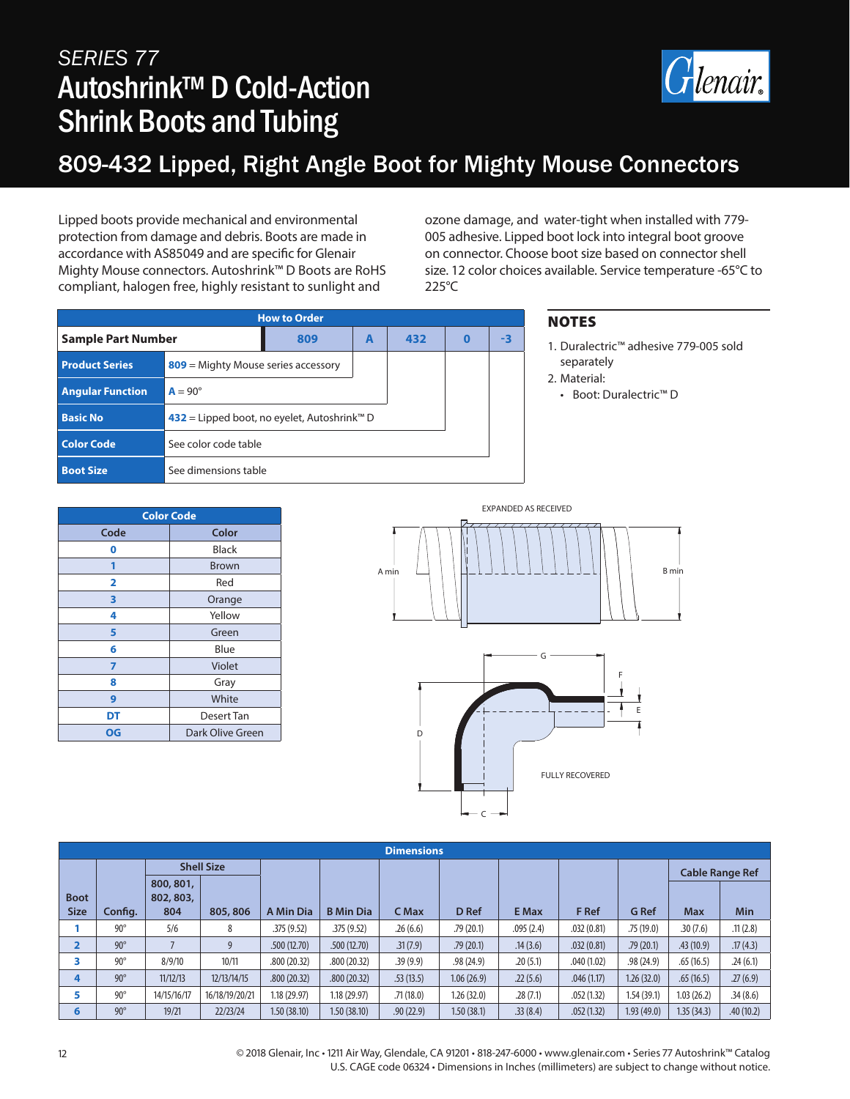# *SERIES 77* Autoshrink™ D Cold-Action Shrink Boots and Tubing



## 809-432 Lipped, Right Angle Boot for Mighty Mouse Connectors

Lipped boots provide mechanical and environmental protection from damage and debris. Boots are made in accordance with AS85049 and are specific for Glenair Mighty Mouse connectors. Autoshrink™ D Boots are RoHS compliant, halogen free, highly resistant to sunlight and

ozone damage, and water-tight when installed with 779- 005 adhesive. Lipped boot lock into integral boot groove on connector. Choose boot size based on connector shell size. 12 color choices available. Service temperature -65°C to 225°C

| <b>How to Order</b>       |                                                         |   |     |          |    |  |  |  |  |
|---------------------------|---------------------------------------------------------|---|-----|----------|----|--|--|--|--|
| <b>Sample Part Number</b> | 809                                                     | A | 432 | $\bf{0}$ | -3 |  |  |  |  |
| <b>Product Series</b>     | $809$ = Mighty Mouse series accessory                   |   |     |          |    |  |  |  |  |
| <b>Angular Function</b>   | $A = 90^\circ$                                          |   |     |          |    |  |  |  |  |
| <b>Basic No</b>           | 432 = Lipped boot, no eyelet, Autoshrink <sup>™</sup> D |   |     |          |    |  |  |  |  |
| <b>Color Code</b>         | See color code table                                    |   |     |          |    |  |  |  |  |
| <b>Boot Size</b>          | See dimensions table                                    |   |     |          |    |  |  |  |  |

### **NOTES**

- 1. Duralectric™ adhesive 779-005 sold separately
- 2. Material:
- Boot: Duralectric™ D

| <b>Color Code</b> |                  |  |  |  |  |  |  |
|-------------------|------------------|--|--|--|--|--|--|
| Code              | Color            |  |  |  |  |  |  |
| 0                 | Black            |  |  |  |  |  |  |
| 1                 | <b>Brown</b>     |  |  |  |  |  |  |
| 2                 | Red              |  |  |  |  |  |  |
| 3                 | Orange           |  |  |  |  |  |  |
| 4                 | Yellow           |  |  |  |  |  |  |
| 5                 | Green            |  |  |  |  |  |  |
| 6                 | Blue             |  |  |  |  |  |  |
| 7                 | Violet           |  |  |  |  |  |  |
| 8                 | Gray             |  |  |  |  |  |  |
| 9                 | White            |  |  |  |  |  |  |
| DT                | Desert Tan       |  |  |  |  |  |  |
| OG                | Dark Olive Green |  |  |  |  |  |  |





| <b>Dimensions</b> |            |                        |                |              |                  |           |             |              |            |              |                        |            |  |
|-------------------|------------|------------------------|----------------|--------------|------------------|-----------|-------------|--------------|------------|--------------|------------------------|------------|--|
|                   |            | <b>Shell Size</b>      |                |              |                  |           |             |              |            |              | <b>Cable Range Ref</b> |            |  |
| <b>Boot</b>       |            | 800, 801,<br>802, 803, |                |              |                  |           |             |              |            |              |                        |            |  |
| <b>Size</b>       | Config.    | 804                    | 805, 806       | A Min Dia    | <b>B</b> Min Dia | C Max     | D Ref       | <b>E</b> Max | F Ref      | <b>G</b> Ref | <b>Max</b>             | <b>Min</b> |  |
|                   | $90^\circ$ | 5/6                    | 8              | .375(9.52)   | .375(9.52)       | .26(6.6)  | .79(20.1)   | .095(2.4)    | .032(0.81) | .75(19.0)    | .30(7.6)               | .11(2.8)   |  |
| $\overline{2}$    | $90^\circ$ |                        | 9              | .500(12.70)  | .500(12.70)      | .31(7.9)  | .79(20.1)   | .14(3.6)     | .032(0.81) | .79(20.1)    | .43(10.9)              | .17(4.3)   |  |
| 3                 | $90^\circ$ | 8/9/10                 | 10/11          | .800 (20.32) | .800(20.32)      | .39(9.9)  | .98(24.9)   | .20(5.1)     | .040(1.02) | .98(24.9)    | .65(16.5)              | .24(6.1)   |  |
| 4                 | $90^\circ$ | 11/12/13               | 12/13/14/15    | .800(20.32)  | .800(20.32)      | .53(13.5) | 1.06(26.9)  | .22(5.6)     | .046(1.17) | 1.26(32.0)   | .65(16.5)              | .27(6.9)   |  |
| 5                 | $90^\circ$ | 14/15/16/17            | 16/18/19/20/21 | .18 (29.97)  | 1.18 (29.97)     | .71(18.0) | 1.26 (32.0) | .28(7.1)     | .052(1.32) | 1.54(39.1)   | 1.03(26.2)             | .34(8.6)   |  |
| 6                 | $90^\circ$ | 19/21                  | 22/23/24       | 1.50(38.10)  | 1.50(38.10)      | .90(22.9) | 1.50(38.1)  | .33(8.4)     | .052(1.32) | 1.93(49.0)   | 1.35(34.3)             | .40(10.2)  |  |

12 © 2018 Glenair, Inc • 1211 Air Way, Glendale, CA 91201 • 818-247-6000 • www.glenair.com • Series 77 Autoshrink™ Catalog U.S. CAGE code 06324 • Dimensions in Inches (millimeters) are subject to change without notice.